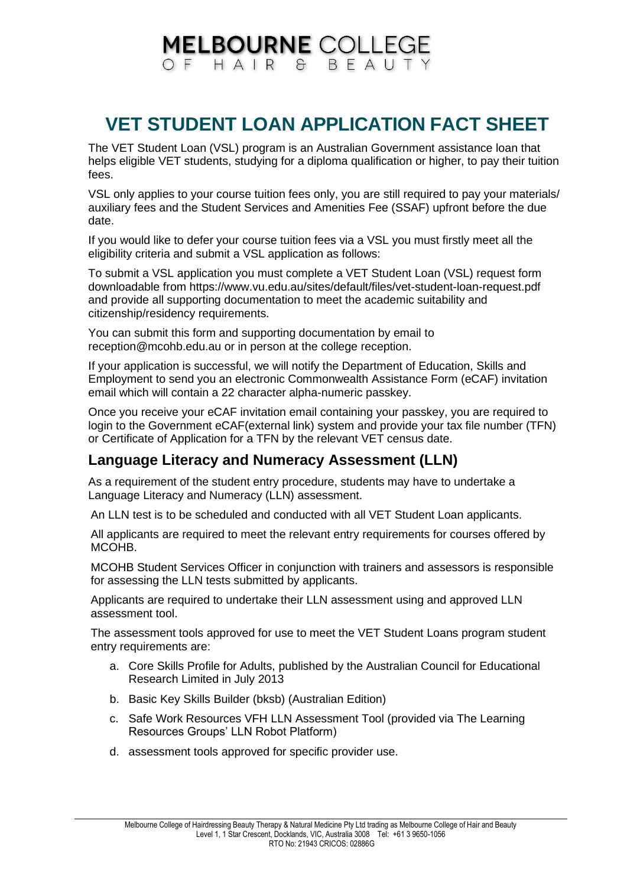## **MELBOURNE COLLEGE** OF HAIR & BFAUT

## **VET STUDENT LOAN APPLICATION FACT SHEET**

The VET Student Loan (VSL) program is an Australian Government assistance loan that helps eligible VET students, studying for a diploma qualification or higher, to pay their tuition fees.

VSL only applies to your course tuition fees only, you are still required to pay your materials/ auxiliary fees and the Student Services and Amenities Fee (SSAF) upfront before the due date.

If you would like to defer your course tuition fees via a VSL you must firstly meet all the eligibility criteria and submit a VSL application as follows:

To submit a VSL application you must complete a VET Student Loan (VSL) request form downloadable from https://www.vu.edu.au/sites/default/files/vet-student-loan-request.pdf and provide all supporting documentation to meet the academic suitability and citizenship/residency requirements.

You can submit this form and supporting documentation by email to reception@mcohb.edu.au or in person at the college reception.

If your application is successful, we will notify the Department of Education, Skills and Employment to send you an electronic Commonwealth Assistance Form (eCAF) invitation email which will contain a 22 character alpha-numeric passkey.

Once you receive your eCAF invitation email containing your passkey, you are required to login to the Government eCAF(external link) system and provide your tax file number (TFN) or Certificate of Application for a TFN by the relevant VET census date.

## **Language Literacy and Numeracy Assessment (LLN)**

As a requirement of the student entry procedure, students may have to undertake a Language Literacy and Numeracy (LLN) assessment.

An LLN test is to be scheduled and conducted with all VET Student Loan applicants.

All applicants are required to meet the relevant entry requirements for courses offered by MCOHB.

MCOHB Student Services Officer in conjunction with trainers and assessors is responsible for assessing the LLN tests submitted by applicants.

Applicants are required to undertake their LLN assessment using and approved LLN assessment tool.

The assessment tools approved for use to meet the VET Student Loans program student entry requirements are:

- a. Core Skills Profile for Adults, published by the Australian Council for Educational Research Limited in July 2013
- b. Basic Key Skills Builder (bksb) (Australian Edition)
- c. Safe Work Resources VFH LLN Assessment Tool (provided via The Learning Resources Groups' LLN Robot Platform)
- d. assessment tools approved for specific provider use.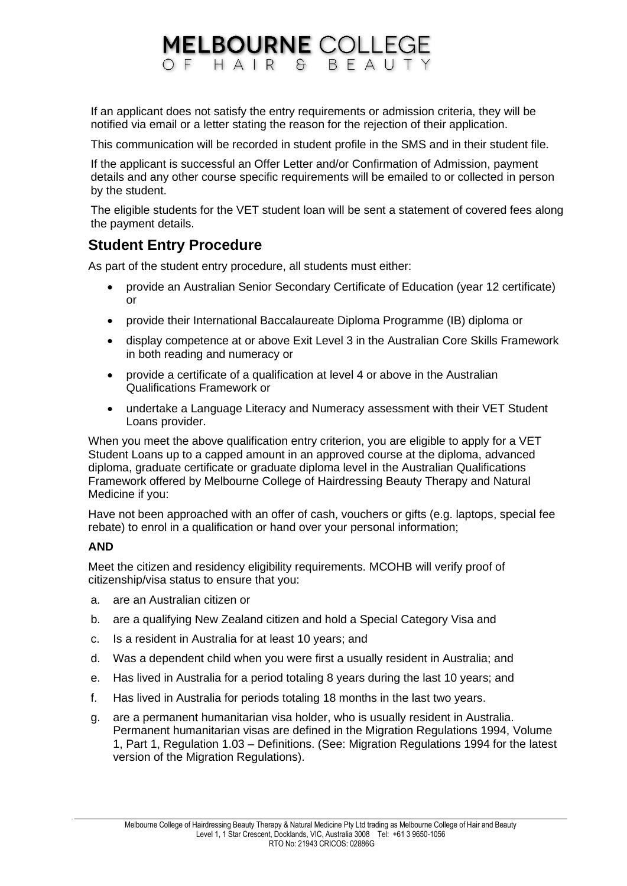# **MELBOURNE COLLEGE**

If an applicant does not satisfy the entry requirements or admission criteria, they will be notified via email or a letter stating the reason for the rejection of their application.

This communication will be recorded in student profile in the SMS and in their student file.

If the applicant is successful an Offer Letter and/or Confirmation of Admission, payment details and any other course specific requirements will be emailed to or collected in person by the student.

The eligible students for the VET student loan will be sent a statement of covered fees along the payment details.

## **Student Entry Procedure**

As part of the student entry procedure, all students must either:

- provide an Australian Senior Secondary Certificate of Education (year 12 certificate) or
- provide their International Baccalaureate Diploma Programme (IB) diploma or
- display competence at or above Exit Level 3 in the Australian Core Skills Framework in both reading and numeracy or
- provide a certificate of a qualification at level 4 or above in the Australian Qualifications Framework or
- undertake a Language Literacy and Numeracy assessment with their VET Student Loans provider.

When you meet the above qualification entry criterion, you are eligible to apply for a VET Student Loans up to a capped amount in an approved course at the diploma, advanced diploma, graduate certificate or graduate diploma level in the Australian Qualifications Framework offered by Melbourne College of Hairdressing Beauty Therapy and Natural Medicine if you:

Have not been approached with an offer of cash, vouchers or gifts (e.g. laptops, special fee rebate) to enrol in a qualification or hand over your personal information;

#### **AND**

Meet the citizen and residency eligibility requirements. MCOHB will verify proof of citizenship/visa status to ensure that you:

- a. are an Australian citizen or
- b. are a qualifying New Zealand citizen and hold a Special Category Visa and
- c. Is a resident in Australia for at least 10 years; and
- d. Was a dependent child when you were first a usually resident in Australia; and
- e. Has lived in Australia for a period totaling 8 years during the last 10 years; and
- f. Has lived in Australia for periods totaling 18 months in the last two years.
- g. are a permanent humanitarian visa holder, who is usually resident in Australia. Permanent humanitarian visas are defined in the Migration Regulations 1994, Volume 1, Part 1, Regulation 1.03 – Definitions. (See: Migration Regulations 1994 for the latest version of the Migration Regulations).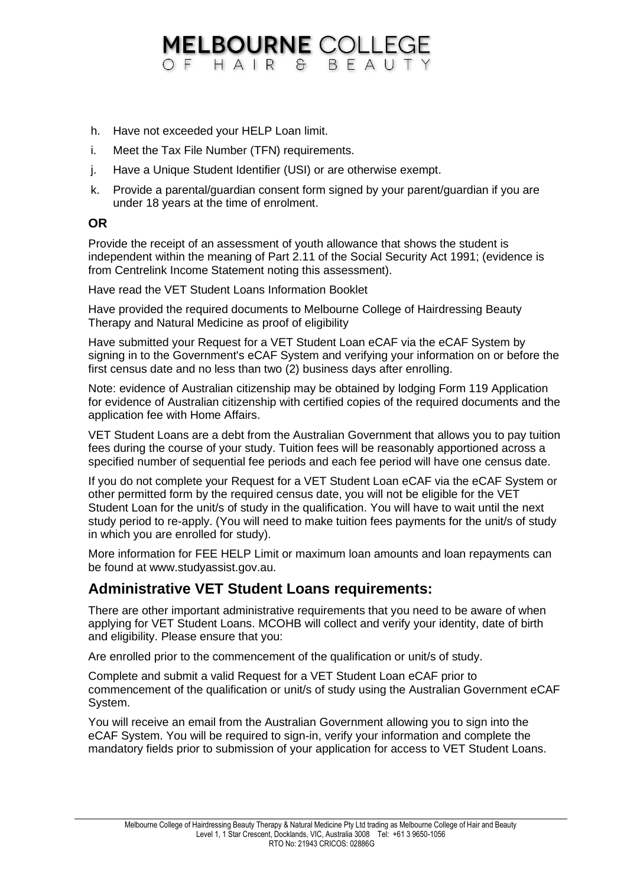## **MELBOURNE COLLEGE** OF HAIR & BFAUTY

- h. Have not exceeded your HELP Loan limit.
- i. Meet the Tax File Number (TFN) requirements.
- j. Have a Unique Student Identifier (USI) or are otherwise exempt.
- k. Provide a parental/guardian consent form signed by your parent/guardian if you are under 18 years at the time of enrolment.

#### **OR**

Provide the receipt of an assessment of youth allowance that shows the student is independent within the meaning of Part 2.11 of the Social Security Act 1991; (evidence is from Centrelink Income Statement noting this assessment).

Have read the VET Student Loans Information Booklet

Have provided the required documents to Melbourne College of Hairdressing Beauty Therapy and Natural Medicine as proof of eligibility

Have submitted your Request for a VET Student Loan eCAF via the eCAF System by signing in to the Government's eCAF System and verifying your information on or before the first census date and no less than two (2) business days after enrolling.

Note: evidence of Australian citizenship may be obtained by lodging Form 119 Application for evidence of Australian citizenship with certified copies of the required documents and the application fee with Home Affairs.

VET Student Loans are a debt from the Australian Government that allows you to pay tuition fees during the course of your study. Tuition fees will be reasonably apportioned across a specified number of sequential fee periods and each fee period will have one census date.

If you do not complete your Request for a VET Student Loan eCAF via the eCAF System or other permitted form by the required census date, you will not be eligible for the VET Student Loan for the unit/s of study in the qualification. You will have to wait until the next study period to re-apply. (You will need to make tuition fees payments for the unit/s of study in which you are enrolled for study).

More information for FEE HELP Limit or maximum loan amounts and loan repayments can be found at www.studyassist.gov.au.

### **Administrative VET Student Loans requirements:**

There are other important administrative requirements that you need to be aware of when applying for VET Student Loans. MCOHB will collect and verify your identity, date of birth and eligibility. Please ensure that you:

Are enrolled prior to the commencement of the qualification or unit/s of study.

Complete and submit a valid Request for a VET Student Loan eCAF prior to commencement of the qualification or unit/s of study using the Australian Government eCAF System.

You will receive an email from the Australian Government allowing you to sign into the eCAF System. You will be required to sign-in, verify your information and complete the mandatory fields prior to submission of your application for access to VET Student Loans.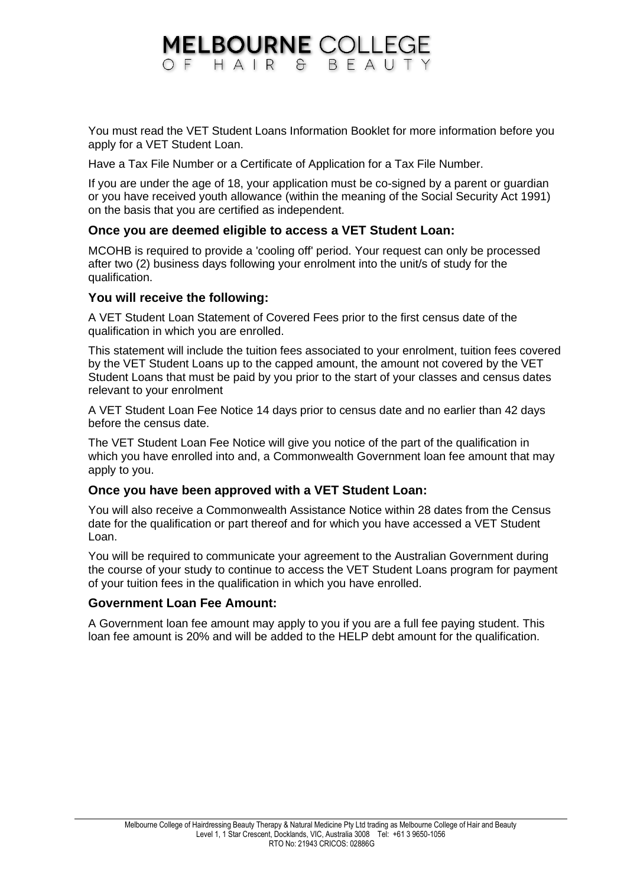## **MELBOURNE COLLEGE** OF HAIR & BFAUT

You must read the VET Student Loans Information Booklet for more information before you apply for a VET Student Loan.

Have a Tax File Number or a Certificate of Application for a Tax File Number.

If you are under the age of 18, your application must be co-signed by a parent or guardian or you have received youth allowance (within the meaning of the Social Security Act 1991) on the basis that you are certified as independent.

#### **Once you are deemed eligible to access a VET Student Loan:**

MCOHB is required to provide a 'cooling off' period. Your request can only be processed after two (2) business days following your enrolment into the unit/s of study for the qualification.

#### **You will receive the following:**

A VET Student Loan Statement of Covered Fees prior to the first census date of the qualification in which you are enrolled.

This statement will include the tuition fees associated to your enrolment, tuition fees covered by the VET Student Loans up to the capped amount, the amount not covered by the VET Student Loans that must be paid by you prior to the start of your classes and census dates relevant to your enrolment

A VET Student Loan Fee Notice 14 days prior to census date and no earlier than 42 days before the census date.

The VET Student Loan Fee Notice will give you notice of the part of the qualification in which you have enrolled into and, a Commonwealth Government loan fee amount that may apply to you.

#### **Once you have been approved with a VET Student Loan:**

You will also receive a Commonwealth Assistance Notice within 28 dates from the Census date for the qualification or part thereof and for which you have accessed a VET Student Loan.

You will be required to communicate your agreement to the Australian Government during the course of your study to continue to access the VET Student Loans program for payment of your tuition fees in the qualification in which you have enrolled.

#### **Government Loan Fee Amount:**

A Government loan fee amount may apply to you if you are a full fee paying student. This loan fee amount is 20% and will be added to the HELP debt amount for the qualification.